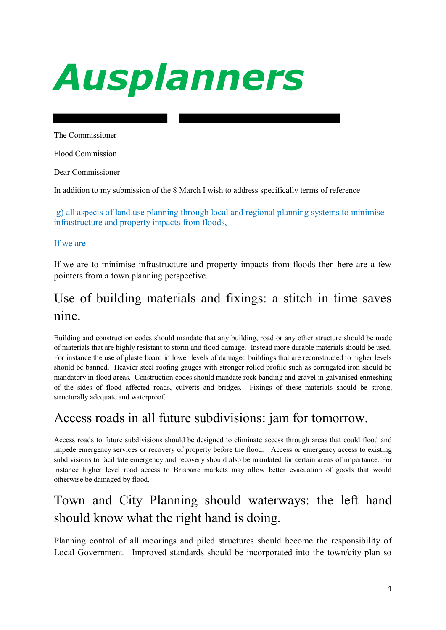# *Ausplanners*

The Commissioner

Flood Commission

Dear Commissioner

In addition to my submission of the 8 March I wish to address specifically terms of reference

 g) all aspects of land use planning through local and regional planning systems to minimise infrastructure and property impacts from floods,

#### If we are

If we are to minimise infrastructure and property impacts from floods then here are a few pointers from a town planning perspective.

## Use of building materials and fixings: a stitch in time saves nine.

Building and construction codes should mandate that any building, road or any other structure should be made of materials that are highly resistant to storm and flood damage. Instead more durable materials should be used. For instance the use of plasterboard in lower levels of damaged buildings that are reconstructed to higher levels should be banned. Heavier steel roofing gauges with stronger rolled profile such as corrugated iron should be mandatory in flood areas. Construction codes should mandate rock banding and gravel in galvanised enmeshing of the sides of flood affected roads, culverts and bridges. Fixings of these materials should be strong, structurally adequate and waterproof.

#### Access roads in all future subdivisions: jam for tomorrow.

Access roads to future subdivisions should be designed to eliminate access through areas that could flood and impede emergency services or recovery of property before the flood. Access or emergency access to existing subdivisions to facilitate emergency and recovery should also be mandated for certain areas of importance. For instance higher level road access to Brisbane markets may allow better evacuation of goods that would otherwise be damaged by flood.

## Town and City Planning should waterways: the left hand should know what the right hand is doing.

Planning control of all moorings and piled structures should become the responsibility of Local Government. Improved standards should be incorporated into the town/city plan so